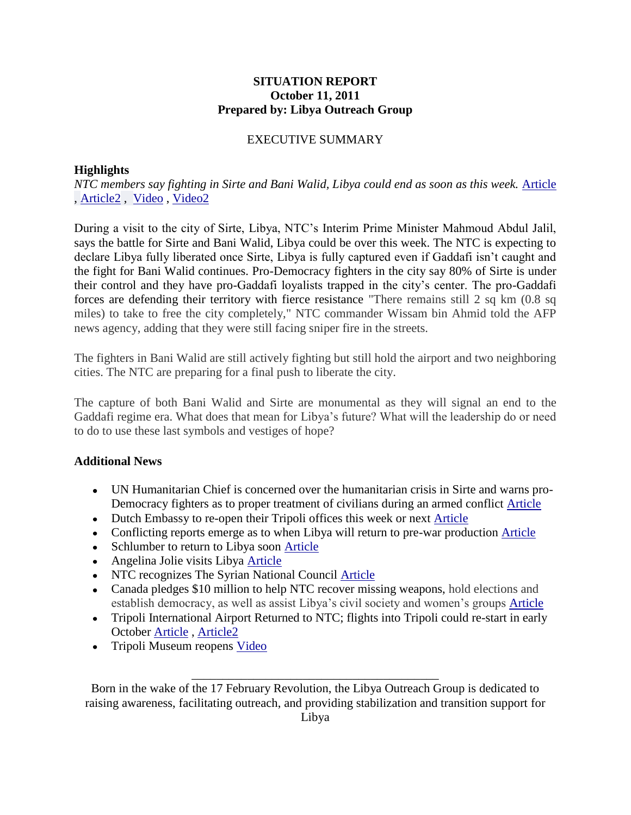## **SITUATION REPORT October 11, 2011 Prepared by: Libya Outreach Group**

## EXECUTIVE SUMMARY

## **Highlights**

*NTC members say fighting in Sirte and Bani Walid, Libya could end as soon as this week.* [Article](http://www.csmonitor.com/World/terrorism-security/2011/1011/Libya-s-interim-leader-predicts-Sirte-victory-by-end-of-week) , [Article2](http://www.voanews.com/english/news/africa/east/Libyas-NTC-Says-Battle-for-Sirte-Nears-End-131529248.html) , [Video](http://www.bbc.co.uk/news/world-africa-15263873#story_continues_1) , [Video2](http://news.sky.com/home/world-news/article/16087088)

During a visit to the city of Sirte, Libya, NTC's Interim Prime Minister Mahmoud Abdul Jalil, says the battle for Sirte and Bani Walid, Libya could be over this week. The NTC is expecting to declare Libya fully liberated once Sirte, Libya is fully captured even if Gaddafi isn't caught and the fight for Bani Walid continues. Pro-Democracy fighters in the city say 80% of Sirte is under their control and they have pro-Gaddafi loyalists trapped in the city's center. The pro-Gaddafi forces are defending their territory with fierce resistance "There remains still 2 sq km (0.8 sq miles) to take to free the city completely," NTC commander Wissam bin Ahmid told the AFP news agency, adding that they were still facing sniper fire in the streets.

The fighters in Bani Walid are still actively fighting but still hold the airport and two neighboring cities. The NTC are preparing for a final push to liberate the city.

The capture of both Bani Walid and Sirte are monumental as they will signal an end to the Gaddafi regime era. What does that mean for Libya's future? What will the leadership do or need to do to use these last symbols and vestiges of hope?

## **Additional News**

- UN Humanitarian Chief is concerned over the humanitarian crisis in Sirte and warns pro-Democracy fighters as to proper treatment of civilians during an armed conflict [Article](http://www.businessweek.com/news/2011-10-11/un-humanitarian-chief-warns-libyans-of-risk-to-sirte-civilians.html)
- Dutch Embassy to re-open their Tripoli offices this week or next [Article](http://www.rnw.nl/english/bulletin/dutch-embassy-libya-reopen-week)
- Conflicting reports emerge as to when Libya will return to pre-war production [Article](http://www.nytimes.com/2011/10/12/business/global/security-issues-weigh-in-libyas-oil-production.html)
- Schlumber to return to Libya soon [Article](http://www.reuters.com/article/2011/10/11/schlumberger-libya-idUSL5E7LB21S20111011)
- Angelina Jolie visits Libya [Article](http://www.cbsnews.com/8301-31749_162-20118691-10391698.html)
- NTC recognizes The Syrian National Council [Article](http://latimesblogs.latimes.com/world_now/2011/10/syria-libya-opposition.html)
- Canada pledges \$10 million to help NTC recover missing weapons, hold elections and establish democracy, as well as assist Libya's civil society and women's groups [Article](http://www.thestar.com/news/canada/article/1067582--canada-commits-10-million-to-help-libya-recover-missing-weapons)
- Tripoli International Airport Returned to NTC; flights into Tripoli could re-start in early October [Article](http://www.news24.com/Africa/News/Militia-hands-over-Tripoli-airport-to-govt-20111010) , [Article2](http://www.reuters.com/article/2011/10/11/libya-airport-idUSL5E7LB2Z420111011)
- Tripoli Museum reopens [Video](http://english.alarabiya.net/articles/2011/10/11/171315.html)

Born in the wake of the 17 February Revolution, the Libya Outreach Group is dedicated to raising awareness, facilitating outreach, and providing stabilization and transition support for Libya

\_\_\_\_\_\_\_\_\_\_\_\_\_\_\_\_\_\_\_\_\_\_\_\_\_\_\_\_\_\_\_\_\_\_\_\_\_\_\_\_